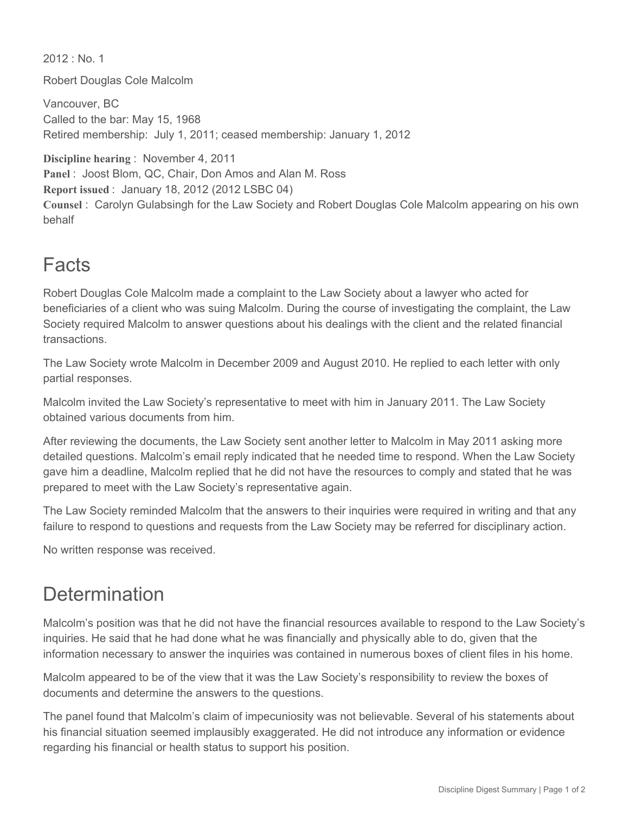$2012 \cdot$  No. 1 Robert Douglas Cole Malcolm

Vancouver, BC Called to the bar: May 15, 1968 Retired membership: July 1, 2011; ceased membership: January 1, 2012

**Discipline hearing** : November 4, 2011 **Panel** : Joost Blom, QC, Chair, Don Amos and Alan M. Ross **Report issued** : January 18, 2012 (2012 LSBC 04) **Counsel** : Carolyn Gulabsingh for the Law Society and Robert Douglas Cole Malcolm appearing on his own behalf

## Facts

Robert Douglas Cole Malcolm made a complaint to the Law Society about a lawyer who acted for beneficiaries of a client who was suing Malcolm. During the course of investigating the complaint, the Law Society required Malcolm to answer questions about his dealings with the client and the related financial transactions.

The Law Society wrote Malcolm in December 2009 and August 2010. He replied to each letter with only partial responses.

Malcolm invited the Law Society's representative to meet with him in January 2011. The Law Society obtained various documents from him.

After reviewing the documents, the Law Society sent another letter to Malcolm in May 2011 asking more detailed questions. Malcolm's email reply indicated that he needed time to respond. When the Law Society gave him a deadline, Malcolm replied that he did not have the resources to comply and stated that he was prepared to meet with the Law Society's representative again.

The Law Society reminded Malcolm that the answers to their inquiries were required in writing and that any failure to respond to questions and requests from the Law Society may be referred for disciplinary action.

No written response was received.

## **Determination**

Malcolm's position was that he did not have the financial resources available to respond to the Law Society's inquiries. He said that he had done what he was financially and physically able to do, given that the information necessary to answer the inquiries was contained in numerous boxes of client files in his home.

Malcolm appeared to be of the view that it was the Law Society's responsibility to review the boxes of documents and determine the answers to the questions.

The panel found that Malcolm's claim of impecuniosity was not believable. Several of his statements about his financial situation seemed implausibly exaggerated. He did not introduce any information or evidence regarding his financial or health status to support his position.